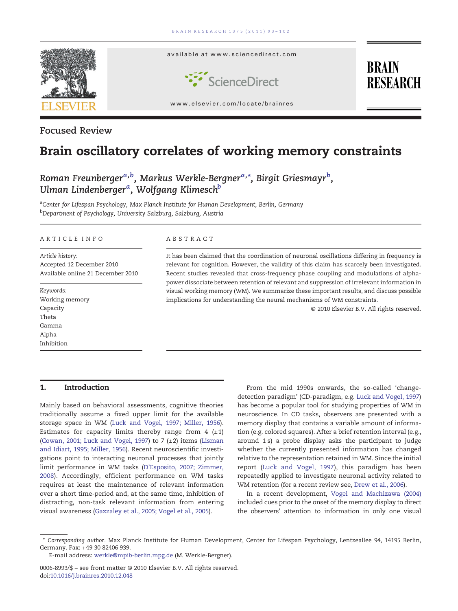

## Focused Review

# Brain oscillatory correlates of working memory constraints

Roman Freunberger<sup>[a,b](#page-0-0)</sup>, M[a](#page-0-0)[r](#page-0-0)kus Werkle-Bergner<sup>a,</sup>\*, Birgit Griesmayr<sup>[b](#page-0-0)</sup>, Ulm[a](#page-0-0)n Lindenberger<sup>a</sup>, Wolfgang Klimesch $^b$ 

<sup>a</sup>Center for Lifespan Psychology, Max Planck Institute for Human Development, Berlin, Germany <sup>b</sup>Department of Psychology, University Salzburg, Salzburg, Austria

#### ARTICLE INFO ABSTRACT

Article history: Accepted 12 December 2010 Available online 21 December 2010

Keywords: Working memory Capacity Theta Gamma Alpha Inhibition

It has been claimed that the coordination of neuronal oscillations differing in frequency is relevant for cognition. However, the validity of this claim has scarcely been investigated. Recent studies revealed that cross-frequency phase coupling and modulations of alphapower dissociate between retention of relevant and suppression of irrelevant information in visual working memory (WM). We summarize these important results, and discuss possible implications for understanding the neural mechanisms of WM constraints.

© 2010 Elsevier B.V. All rights reserved.

### 1. Introduction

Mainly based on behavioral assessments, cognitive theories traditionally assume a fixed upper limit for the available storage space in WM ([Luck and Vogel, 1997; Miller, 1956](#page-8-0)). Estimates for capacity limits thereby range from 4  $(\pm 1)$ [\(Cowan, 2001; Luck and Vogel, 1997\)](#page-7-0) to 7  $(\pm 2)$  items [\(Lisman](#page-8-0) [and Idiart, 1995; Miller, 1956\)](#page-8-0). Recent neuroscientific investigations point to interacting neuronal processes that jointly limit performance in WM tasks ([D'Esposito, 2007; Zimmer,](#page-7-0) [2008](#page-7-0)). Accordingly, efficient performance on WM tasks requires at least the maintenance of relevant information over a short time-period and, at the same time, inhibition of distracting, non-task relevant information from entering visual awareness ([Gazzaley et al., 2005; Vogel et al., 2005\)](#page-7-0).

From the mid 1990s onwards, the so-called 'changedetection paradigm' (CD-paradigm, e.g. [Luck and Vogel, 1997](#page-8-0)) has become a popular tool for studying properties of WM in neuroscience. In CD tasks, observers are presented with a memory display that contains a variable amount of information (e.g. colored squares). After a brief retention interval (e.g., around 1 s) a probe display asks the participant to judge whether the currently presented information has changed relative to the representation retained in WM. Since the initial report ([Luck and Vogel, 1997\)](#page-8-0), this paradigm has been repeatedly applied to investigate neuronal activity related to WM retention (for a recent review see, [Drew et al., 2006\)](#page-7-0).

In a recent development, [Vogel and Machizawa \(2004\)](#page-9-0) included cues prior to the onset of the memory display to direct the observers' attention to information in only one visual

<sup>⁎</sup> Corresponding author. Max Planck Institute for Human Development, Center for Lifespan Psychology, Lentzeallee 94, 14195 Berlin, Germany. Fax: +49 30 82406 939.

E-mail address: [werkle@mpib-berlin.mpg.de](mailto:werkle@mpib-berlin.mpg.de) (M. Werkle-Bergner).

<span id="page-0-0"></span><sup>0006-8993/\$</sup> – see front matter © 2010 Elsevier B.V. All rights reserved. doi[:10.1016/j.brainres.2010.12.048](http://dx.doi.org/10.1016/j.brainres.2010.12.048)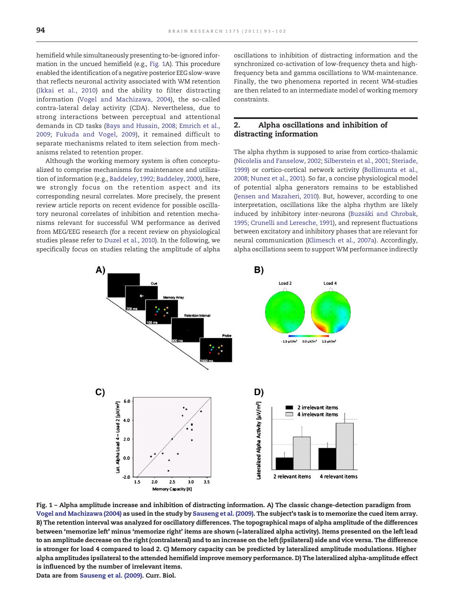hemifield while simultaneously presenting to-be-ignored information in the uncued hemifield (e.g., [Fig](#page-1-0). 1A). This procedure enabled the identification of a negative posterior EEG slow-wave that reflects neuronal activity associated with WM retention ([Ikkai et al., 2010\)](#page-8-0) and the ability to filter distracting information [\(Vogel and Machizawa, 2004](#page-9-0)), the so-called contra-lateral delay activity (CDA). Nevertheless, due to strong interactions between perceptual and attentional demands in CD tasks ([Bays and Husain, 2008; Emrich et al.,](#page-7-0) [2009; Fukuda and Vogel, 2009](#page-7-0)), it remained difficult to separate mechanisms related to item selection from mechanisms related to retention proper.

Although the working memory system is often conceptualized to comprise mechanisms for maintenance and utilization of information (e.g., [Baddeley, 1992; Baddeley, 2000](#page-7-0)), here, we strongly focus on the retention aspect and its corresponding neural correlates. More precisely, the present review article reports on recent evidence for possible oscillatory neuronal correlates of inhibition and retention mechanisms relevant for successful WM performance as derived from MEG/EEG research (for a recent review on physiological studies please refer to [Duzel et al., 2010\)](#page-7-0). In the following, we specifically focus on studies relating the amplitude of alpha

oscillations to inhibition of distracting information and the synchronized co-activation of low-frequency theta and highfrequency beta and gamma oscillations to WM-maintenance. Finally, the two phenomena reported in recent WM-studies are then related to an intermediate model of working memory constraints.

#### 2. Alpha oscillations and inhibition of distracting information

The alpha rhythm is supposed to arise from cortico-thalamic ([Nicolelis and Fanselow, 2002; Silberstein et al., 2001; Steriade,](#page-8-0) [1999\)](#page-8-0) or cortico-cortical network activity ([Bollimunta et al.,](#page-7-0) [2008; Nunez et al., 2001](#page-7-0)). So far, a concise physiological model of potential alpha generators remains to be established ([Jensen and Mazaheri, 2010](#page-8-0)). But, however, according to one interpretation, oscillations like the alpha rhythm are likely induced by inhibitory inter-neurons ([Buzsáki and Chrobak,](#page-7-0) [1995; Crunelli and Leresche, 1991](#page-7-0)), and represent fluctuations between excitatory and inhibitory phases that are relevant for neural communication [\(Klimesch et al., 2007a](#page-8-0)). Accordingly, alpha oscillations seem to support WM performance indirectly



Fig. 1 – Alpha amplitude increase and inhibition of distracting information. A) The classic change-detection paradigm from [Vogel and Machizawa \(2004\)](#page-9-0) as used in the study by [Sauseng et al. \(2009\).](#page-9-0) The subject's task is to memorize the cued item array. B) The retention interval was analyzed for oscillatory differences. The topographical maps of alpha amplitude of the differences between 'memorize left' minus 'memorize right' items are shown (= lateralized alpha activity). Items presented on the left lead to an amplitude decrease on the right (contralateral) and to an increase on the left (ipsilateral) side and vice versa. The difference is stronger for load 4 compared to load 2. C) Memory capacity can be predicted by lateralized amplitude modulations. Higher alpha amplitudes ipsilateral to the attended hemifield improve memory performance. D) The lateralized alpha-amplitude effect is influenced by the number of irrelevant items.

<span id="page-1-0"></span>Data are from [Sauseng et al. \(2009\).](#page-9-0) Curr. Biol.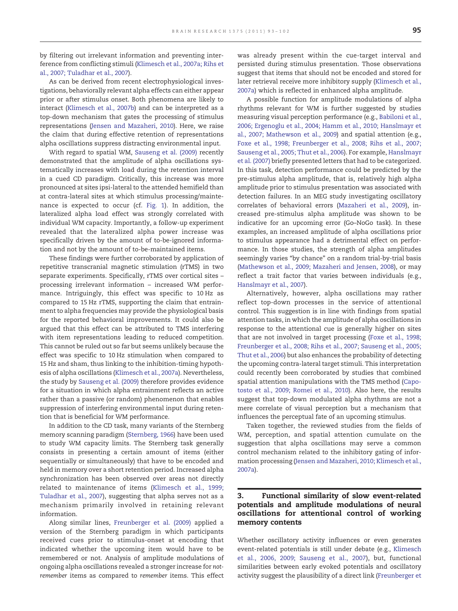by filtering out irrelevant information and preventing interference from conflicting stimuli [\(Klimesch et al., 2007a; Rihs et](#page-8-0) [al., 2007; Tuladhar et al., 2007\)](#page-8-0).

As can be derived from recent electrophysiological investigations, behaviorally relevant alpha effects can either appear prior or after stimulus onset. Both phenomena are likely to interact ([Klimesch et al., 2007b\)](#page-8-0) and can be interpreted as a top-down mechanism that gates the processing of stimulus representations ([Jensen and Mazaheri, 2010\)](#page-8-0). Here, we raise the claim that during effective retention of representations alpha oscillations suppress distracting environmental input.

With regard to spatial WM, [Sauseng et al. \(2009\)](#page-9-0) recently demonstrated that the amplitude of alpha oscillations systematically increases with load during the retention interval in a cued CD paradigm. Critically, this increase was more pronounced at sites ipsi-lateral to the attended hemifield than at contra-lateral sites at which stimulus processing/maintenance is expected to occur (cf. [Fig](#page-1-0). 1). In addition, the lateralized alpha load effect was strongly correlated with individual WM capacity. Importantly, a follow-up experiment revealed that the lateralized alpha power increase was specifically driven by the amount of to-be-ignored information and not by the amount of to-be-maintained items.

These findings were further corroborated by application of repetitive transcranial magnetic stimulation (rTMS) in two separate experiments. Specifically, rTMS over cortical sites – processing irrelevant information – increased WM performance. Intriguingly, this effect was specific to 10 Hz as compared to 15 Hz rTMS, supporting the claim that entrainment to alpha frequencies may provide the physiological basis for the reported behavioral improvements. It could also be argued that this effect can be attributed to TMS interfering with item representations leading to reduced competition. This cannot be ruled out so far but seems unlikely because the effect was specific to 10 Hz stimulation when compared to 15 Hz and sham, thus linking to the inhibition-timing hypothesis of alpha oscillations ([Klimesch et al., 2007a\)](#page-8-0). Nevertheless, the study by [Sauseng et al. \(2009\)](#page-9-0) therefore provides evidence for a situation in which alpha entrainment reflects an active rather than a passive (or random) phenomenon that enables suppression of interfering environmental input during retention that is beneficial for WM performance.

In addition to the CD task, many variants of the Sternberg memory scanning paradigm [\(Sternberg, 1966\)](#page-9-0) have been used to study WM capacity limits. The Sternberg task generally consists in presenting a certain amount of items (either sequentially or simultaneously) that have to be encoded and held in memory over a short retention period. Increased alpha synchronization has been observed over areas not directly related to maintenance of items ([Klimesch et al., 1999;](#page-8-0) [Tuladhar et al., 2007\)](#page-8-0), suggesting that alpha serves not as a mechanism primarily involved in retaining relevant information.

Along similar lines, [Freunberger et al. \(2009\)](#page-7-0) applied a version of the Sternberg paradigm in which participants received cues prior to stimulus-onset at encoding that indicated whether the upcoming item would have to be remembered or not. Analysis of amplitude modulations of ongoing alpha oscillations revealed a stronger increase for notremember items as compared to remember items. This effect

was already present within the cue-target interval and persisted during stimulus presentation. Those observations suggest that items that should not be encoded and stored for later retrieval receive more inhibitory supply [\(Klimesch et al.,](#page-8-0) [2007a](#page-8-0)) which is reflected in enhanced alpha amplitude.

A possible function for amplitude modulations of alpha rhythms relevant for WM is further suggested by studies measuring visual perception performance (e.g., [Babiloni et al.,](#page-7-0) [2006; Ergenoglu et al., 2004; Hamm et al., 2010; Hanslmayr et](#page-7-0) [al., 2007; Mathewson et al., 2009\)](#page-7-0) and spatial attention (e.g., [Foxe et al., 1998; Freunberger et al., 2008; Rihs et al., 2007;](#page-7-0) [Sauseng et al., 2005; Thut et al., 2006](#page-7-0)). For example, [Hanslmayr](#page-8-0) [et al. \(2007\)](#page-8-0) briefly presented letters that had to be categorized. In this task, detection performance could be predicted by the pre-stimulus alpha amplitude, that is, relatively high alpha amplitude prior to stimulus presentation was associated with detection failures. In an MEG study investigating oscillatory correlates of behavioral errors ([Mazaheri et al., 2009\)](#page-8-0), increased pre-stimulus alpha amplitude was shown to be indicative for an upcoming error (Go–NoGo task). In these examples, an increased amplitude of alpha oscillations prior to stimulus appearance had a detrimental effect on performance. In those studies, the strength of alpha amplitudes seemingly varies "by chance" on a random trial-by-trial basis [\(Mathewson et al., 2009; Mazaheri and Jensen, 2008](#page-8-0)), or may reflect a trait factor that varies between individuals (e.g., [Hanslmayr et al., 2007](#page-8-0)).

Alternatively, however, alpha oscillations may rather reflect top-down processes in the service of attentional control. This suggestion is in line with findings from spatial attention tasks, in which the amplitude of alpha oscillations in response to the attentional cue is generally higher on sites that are not involved in target processing [\(Foxe et al., 1998;](#page-7-0) [Freunberger et al., 2008; Rihs et al., 2007; Sauseng et al., 2005;](#page-7-0) [Thut et al., 2006](#page-7-0)) but also enhances the probability of detecting the upcoming contra-lateral target stimuli. This interpretation could recently been corroborated by studies that combined spatial attention manipulations with the TMS method [\(Capo](#page-7-0)[tosto et al., 2009; Romei et al., 2010](#page-7-0)). Also here, the results suggest that top-down modulated alpha rhythms are not a mere correlate of visual perception but a mechanism that influences the perceptual fate of an upcoming stimulus.

Taken together, the reviewed studies from the fields of WM, perception, and spatial attention cumulate on the suggestion that alpha oscillations may serve a common control mechanism related to the inhibitory gating of information processing [\(Jensen and Mazaheri, 2010; Klimesch et al.,](#page-8-0) [2007a](#page-8-0)).

#### 3. Functional similarity of slow event-related potentials and amplitude modulations of neural oscillations for attentional control of working memory contents

Whether oscillatory activity influences or even generates event-related potentials is still under debate (e.g., [Klimesch](#page-8-0) [et al., 2006, 2009; Sauseng et al., 2007](#page-8-0)), but, functional similarities between early evoked potentials and oscillatory activity suggest the plausibility of a direct link ([Freunberger et](#page-7-0)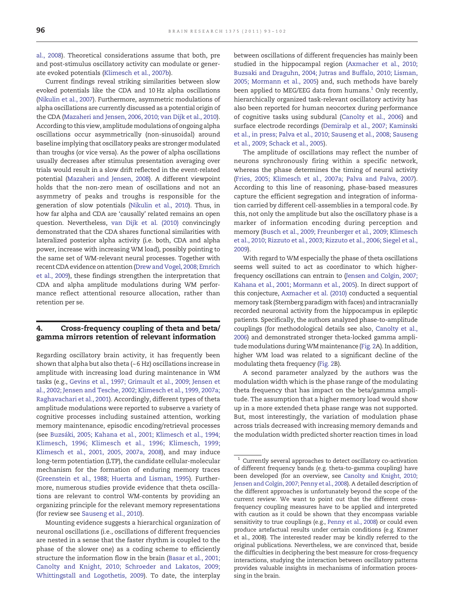[al., 2008\)](#page-7-0). Theoretical considerations assume that both, pre and post-stimulus oscillatory activity can modulate or generate evoked potentials ([Klimesch et al., 2007b\)](#page-8-0).

Current findings reveal striking similarities between slow evoked potentials like the CDA and 10 Hz alpha oscillations ([Nikulin et al., 2007\)](#page-9-0). Furthermore, asymmetric modulations of alpha oscillations are currently discussed as a potential origin of the CDA [\(Mazaheri and Jensen, 2006, 2010; van Dijk et al., 2010\)](#page-8-0). According to this view, amplitude modulations of ongoing alpha oscillations occur asymmetrically (non-sinusoidal) around baseline implying that oscillatory peaks are stronger modulated than troughs (or vice versa). As the power of alpha oscillations usually decreases after stimulus presentation averaging over trials would result in a slow drift reflected in the event-related potential ([Mazaheri and Jensen, 2008\)](#page-8-0). A different viewpoint holds that the non-zero mean of oscillations and not an asymmetry of peaks and troughs is responsible for the generation of slow potentials ([Nikulin et al., 2010\)](#page-9-0). Thus, in how far alpha and CDA are 'causally' related remains an open question. Nevertheless, [van Dijk et al. \(2010\)](#page-9-0) convincingly demonstrated that the CDA shares functional similarities with lateralized posterior alpha activity (i.e. both, CDA and alpha power, increase with increasing WM load), possibly pointing to the same set of WM-relevant neural processes. Together with recent CDA evidence on attention [\(Drew and Vogel, 2008; Emrich](#page-7-0) [et al., 2009\)](#page-7-0), these findings strengthen the interpretation that CDA and alpha amplitude modulations during WM performance reflect attentional resource allocation, rather than retention per se.

#### 4. Cross-frequency coupling of theta and beta/ gamma mirrors retention of relevant information

Regarding oscillatory brain activity, it has frequently been shown that alpha but also theta (~6 Hz) oscillations increase in amplitude with increasing load during maintenance in WM tasks (e.g., [Gevins et al., 1997; Grimault et al., 2009; Jensen et](#page-8-0) [al., 2002; Jensen and Tesche, 2002; Klimesch et al., 1999, 2007a;](#page-8-0) [Raghavachari et al., 2001\)](#page-8-0). Accordingly, different types of theta amplitude modulations were reported to subserve a variety of cognitive processes including sustained attention, working memory maintenance, episodic encoding/retrieval processes (see [Buzsáki, 2005; Kahana et al., 2001; Klimesch et al., 1994;](#page-7-0) [Klimesch, 1996; Klimesch et al., 1996; Klimesch, 1999;](#page-7-0) [Klimesch et al., 2001, 2005, 2007a, 2008](#page-7-0)), and may induce long-term potentiation (LTP), the candidate cellular-molecular mechanism for the formation of enduring memory traces ([Greenstein et al., 1988; Huerta and Lisman, 1995\)](#page-8-0). Furthermore, numerous studies provide evidence that theta oscillations are relevant to control WM-contents by providing an organizing principle for the relevant memory representations (for review see [Sauseng et al., 2010](#page-9-0)).

between oscillations of different frequencies has mainly been studied in the hippocampal region [\(Axmacher et al., 2010;](#page-7-0) [Buzsaki and Draguhn, 2004; Jutras and Buffalo, 2010; Lisman,](#page-7-0) [2005; Mormann et al., 2005\)](#page-7-0) and, such methods have barely been applied to MEG/EEG data from humans. $1$  Only recently, hierarchically organized task-relevant oscillatory activity has also been reported for human neocortex during performance of cognitive tasks using subdural ([Canolty et al., 2006](#page-7-0)) and surface electrode recordings [\(Demiralp et al., 2007; Kaminski](#page-7-0) [et al., in press; Palva et al., 2010; Sauseng et al., 2008; Sauseng](#page-7-0) [et al., 2009; Schack et al., 2005\)](#page-7-0).

The amplitude of oscillations may reflect the number of neurons synchronously firing within a specific network, whereas the phase determines the timing of neural activity ([Fries, 2005; Klimesch et al., 2007a; Palva and Palva, 2007\)](#page-7-0). According to this line of reasoning, phase-based measures capture the efficient segregation and integration of information carried by different cell-assemblies in a temporal code. By this, not only the amplitude but also the oscillatory phase is a marker of information encoding during perception and memory ([Busch et al., 2009; Freunberger et al., 2009; Klimesch](#page-7-0) [et al., 2010; Rizzuto et al., 2003; Rizzuto et al., 2006; Siegel et al.,](#page-7-0) [2009\)](#page-7-0).

With regard to WM especially the phase of theta oscillations seems well suited to act as coordinator to which higherfrequency oscillations can entrain to [\(Jensen and Colgin, 2007;](#page-8-0) [Kahana et al., 2001; Mormann et al., 2005](#page-8-0)). In direct support of this conjecture, [Axmacher et al. \(2010\)](#page-7-0) conducted a sequential memory task (Sternberg paradigm with faces) and intracranially recorded neuronal activity from the hippocampus in epileptic patients. Specifically, the authors analyzed phase-to-amplitude couplings (for methodological details see also, [Canolty et al.,](#page-7-0) [2006](#page-7-0)) and demonstrated stronger theta-locked gamma amplitudemodulations duringWMmaintenance [\(Fig](#page-4-0). 2A). In addition, higher WM load was related to a significant decline of the modulating theta frequency [\(Fig](#page-4-0). 2B).

A second parameter analyzed by the authors was the modulation width which is the phase range of the modulating theta frequency that has impact on the beta/gamma amplitude. The assumption that a higher memory load would show up in a more extended theta phase range was not supported. But, most interestingly, the variation of modulation phase across trials decreased with increasing memory demands and the modulation width predicted shorter reaction times in load

Mounting evidence suggests a hierarchical organization of neuronal oscillations (i.e., oscillations of different frequencies are nested in a sense that the faster rhythm is coupled to the phase of the slower one) as a coding scheme to efficiently structure the information flow in the brain [\(Basar et al., 2001;](#page-7-0) [Canolty and Knight, 2010; Schroeder and Lakatos, 2009;](#page-7-0) [Whittingstall and Logothetis, 2009\)](#page-7-0). To date, the interplay

<sup>1</sup> Currently several approaches to detect oscillatory co-activation of different frequency bands (e.g. theta-to-gamma coupling) have been developed (for an overview, see [Canolty and Knight, 2010;](#page-7-0) [Jensen and Colgin, 2007; Penny et al., 2008](#page-7-0)). A detailed description of the different approaches is unfortunately beyond the scope of the current review. We want to point out that the different crossfrequency coupling measures have to be applied and interpreted with caution as it could be shown that they encompass variable sensitivity to true couplings (e.g., [Penny et al., 2008](#page-9-0)) or could even produce artefactual results under certain conditions (e.g. Kramer et al., 2008). The interested reader may be kindly referred to the original publications. Nevertheless, we are convinced that, beside the difficulties in deciphering the best measure for cross-frequency interactions, studying the interaction between oscillatory patterns provides valuable insights in mechanisms of information processing in the brain.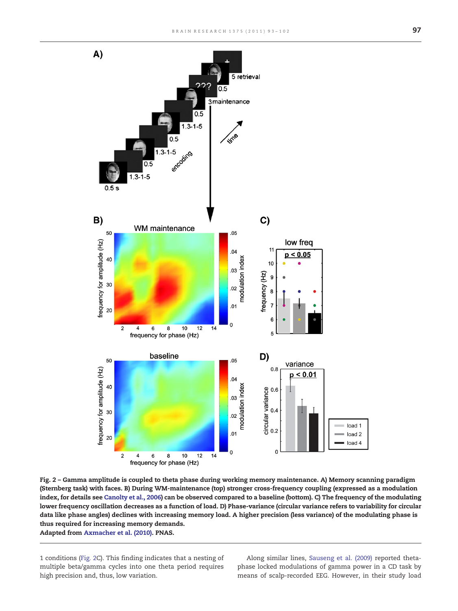

Fig. 2 – Gamma amplitude is coupled to theta phase during working memory maintenance. A) Memory scanning paradigm (Sternberg task) with faces. B) During WM-maintenance (top) stronger cross-frequency coupling (expressed as a modulation index, for details see [Canolty et al., 2006\)](#page-7-0) can be observed compared to a baseline (bottom). C) The frequency of the modulating lower frequency oscillation decreases as a function of load. D) Phase-variance (circular variance refers to variability for circular data like phase angles) declines with increasing memory load. A higher precision (less variance) of the modulating phase is thus required for increasing memory demands. Adapted from [Axmacher et al. \(2010\).](#page-7-0) PNAS.

<span id="page-4-0"></span>1 conditions [\(Fig](#page-4-0). 2C). This finding indicates that a nesting of multiple beta/gamma cycles into one theta period requires high precision and, thus, low variation.

Along similar lines, [Sauseng et al. \(2009\)](#page-9-0) reported thetaphase locked modulations of gamma power in a CD task by means of scalp-recorded EEG. However, in their study load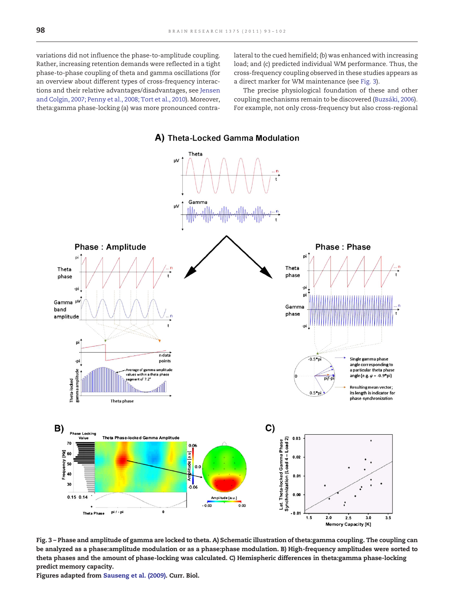variations did not influence the phase-to-amplitude coupling. Rather, increasing retention demands were reflected in a tight phase-to-phase coupling of theta and gamma oscillations (for an overview about different types of cross-frequency interactions and their relative advantages/disadvantages, see [Jensen](#page-8-0) [and Colgin, 2007; Penny et al., 2008; Tort et al., 2010](#page-8-0)). Moreover, theta:gamma phase-locking (a) was more pronounced contralateral to the cued hemifield; (b) was enhanced with increasing load; and (c) predicted individual WM performance. Thus, the cross-frequency coupling observed in these studies appears as a direct marker for WM maintenance (see [Fig](#page-5-0). 3).

The precise physiological foundation of these and other coupling mechanisms remain to be discovered [\(Buzsáki, 2006\)](#page-7-0). For example, not only cross-frequency but also cross-regional



Fig. 3 – Phase and amplitude of gamma are locked to theta. A) Schematic illustration of theta:gamma coupling. The coupling can be analyzed as a phase:amplitude modulation or as a phase:phase modulation. B) High-frequency amplitudes were sorted to theta phases and the amount of phase-locking was calculated. C) Hemispheric differences in theta:gamma phase-locking predict memory capacity.

<span id="page-5-0"></span>Figures adapted from [Sauseng et al. \(2009\).](#page-9-0) Curr. Biol.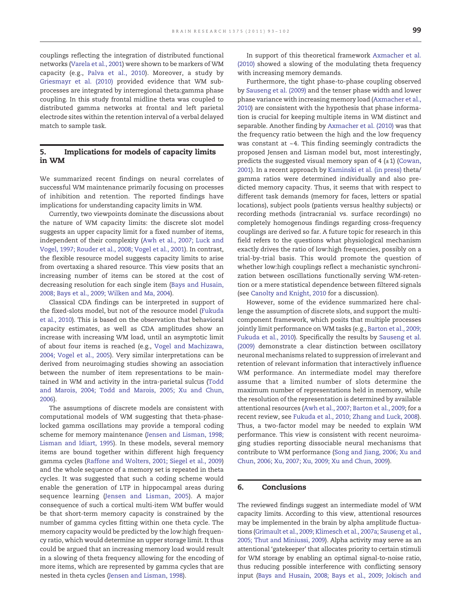couplings reflecting the integration of distributed functional networks [\(Varela et al., 2001\)](#page-9-0) were shown to be markers of WM capacity (e.g., [Palva et al., 2010\)](#page-9-0). Moreover, a study by [Griesmayr et al. \(2010\)](#page-8-0) provided evidence that WM subprocesses are integrated by interregional theta:gamma phase coupling. In this study frontal midline theta was coupled to distributed gamma networks at frontal and left parietal electrode sites within the retention interval of a verbal delayed match to sample task.

#### 5. Implications for models of capacity limits in WM

We summarized recent findings on neural correlates of successful WM maintenance primarily focusing on processes of inhibition and retention. The reported findings have implications for understanding capacity limits in WM.

Currently, two viewpoints dominate the discussions about the nature of WM capacity limits: the discrete slot model suggests an upper capacity limit for a fixed number of items, independent of their complexity ([Awh et al., 2007; Luck and](#page-7-0) [Vogel, 1997; Rouder et al., 2008; Vogel et al., 2001\)](#page-7-0). In contrast, the flexible resource model suggests capacity limits to arise from overtaxing a shared resource. This view posits that an increasing number of items can be stored at the cost of decreasing resolution for each single item ([Bays and Husain,](#page-7-0) [2008; Bays et al., 2009; Wilken and Ma, 2004](#page-7-0)).

Classical CDA findings can be interpreted in support of the fixed-slots model, but not of the resource model [\(Fukuda](#page-7-0) [et al., 2010\)](#page-7-0). This is based on the observation that behavioral capacity estimates, as well as CDA amplitudes show an increase with increasing WM load, until an asymptotic limit of about four items is reached (e.g., [Vogel and Machizawa,](#page-9-0) [2004; Vogel et al., 2005](#page-9-0)). Very similar interpretations can be derived from neuroimaging studies showing an association between the number of item representations to be maintained in WM and activity in the intra-parietal sulcus [\(Todd](#page-9-0) [and Marois, 2004; Todd and Marois, 2005; Xu and Chun,](#page-9-0) [2006](#page-9-0)).

The assumptions of discrete models are consistent with computational models of WM suggesting that theta-phaselocked gamma oscillations may provide a temporal coding scheme for memory maintenance [\(Jensen and Lisman, 1998;](#page-8-0) [Lisman and Idiart, 1995](#page-8-0)). In these models, several memory items are bound together within different high frequency gamma cycles ([Raffone and Wolters, 2001; Siegel et al., 2009\)](#page-9-0) and the whole sequence of a memory set is repeated in theta cycles. It was suggested that such a coding scheme would enable the generation of LTP in hippocampal areas during sequence learning ([Jensen and Lisman, 2005\)](#page-8-0). A major consequence of such a cortical multi-item WM buffer would be that short-term memory capacity is constrained by the number of gamma cycles fitting within one theta cycle. The memory capacity would be predicted by the low:high frequency ratio, which would determine an upper storage limit. It thus could be argued that an increasing memory load would result in a slowing of theta frequency allowing for the encoding of more items, which are represented by gamma cycles that are nested in theta cycles ([Jensen and Lisman, 1998\)](#page-8-0).

In support of this theoretical framework [Axmacher et al.](#page-7-0) [\(2010\)](#page-7-0) showed a slowing of the modulating theta frequency with increasing memory demands.

Furthermore, the tight phase-to-phase coupling observed by [Sauseng et al. \(2009\)](#page-9-0) and the tenser phase width and lower phase variance with increasing memory load ([Axmacher et al.,](#page-7-0) [2010](#page-7-0)) are consistent with the hypothesis that phase information is crucial for keeping multiple items in WM distinct and separable. Another finding by [Axmacher et al. \(2010\)](#page-7-0) was that the frequency ratio between the high and the low frequency was constant at ~4. This finding seemingly contradicts the proposed Jensen and Lisman model but, most interestingly, predicts the suggested visual memory span of  $4 (+1)$  [\(Cowan,](#page-7-0) [2001](#page-7-0)). In a recent approach by [Kaminski et al. \(in press\)](#page-8-0) theta/ gamma ratios were determined individually and also predicted memory capacity. Thus, it seems that with respect to different task demands (memory for faces, letters or spatial locations), subject pools (patients versus healthy subjects) or recording methods (intracranial vs. surface recordings) no completely homogenous findings regarding cross-frequency couplings are derived so far. A future topic for research in this field refers to the questions what physiological mechanism exactly drives the ratio of low:high frequencies, possibly on a trial-by-trial basis. This would promote the question of whether low:high couplings reflect a mechanistic synchronization between oscillations functionally serving WM-retention or a mere statistical dependence between filtered signals (see [Canolty and Knight, 2010](#page-7-0) for a discussion).

However, some of the evidence summarized here challenge the assumption of discrete slots, and support the multicomponent framework, which posits that multiple processes jointly limit performance on WM tasks (e.g., [Barton et al., 2009;](#page-7-0) [Fukuda et al., 2010](#page-7-0)). Specifically the results by [Sauseng et al.](#page-9-0) [\(2009\)](#page-9-0) demonstrate a clear distinction between oscillatory neuronal mechanisms related to suppression of irrelevant and retention of relevant information that interactively influence WM performance. An intermediate model may therefore assume that a limited number of slots determine the maximum number of representations held in memory, while the resolution of the representation is determined by available attentional resources [\(Awh et al., 2007; Barton et al., 2009;](#page-7-0) for a recent review, see [Fukuda et al., 2010; Zhang and Luck, 2008](#page-7-0)). Thus, a two-factor model may be needed to explain WM performance. This view is consistent with recent neuroimaging studies reporting dissociable neural mechanisms that contribute to WM performance ([Song and Jiang, 2006; Xu and](#page-9-0) [Chun, 2006; Xu, 2007; Xu, 2009; Xu and Chun, 2009\)](#page-9-0).

#### 6. Conclusions

The reviewed findings suggest an intermediate model of WM capacity limits. According to this view, attentional resources may be implemented in the brain by alpha amplitude fluctuations [\(Grimault et al., 2009; Klimesch et al., 2007a; Sauseng et al.,](#page-8-0) [2005; Thut and Miniussi, 2009\)](#page-8-0). Alpha activity may serve as an attentional 'gatekeeper' that allocates priority to certain stimuli for WM storage by enabling an optimal signal-to-noise ratio, thus reducing possible interference with conflicting sensory input ([Bays and Husain, 2008; Bays et al., 2009; Jokisch and](#page-7-0)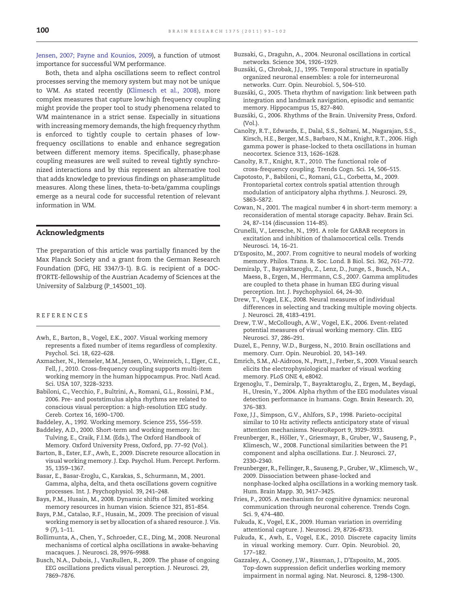[Jensen, 2007; Payne and Kounios, 2009\)](#page-7-0), a function of utmost importance for successful WM performance.

Both, theta and alpha oscillations seem to reflect control processes serving the memory system but may not be unique to WM. As stated recently [\(Klimesch et al., 2008](#page-8-0)), more complex measures that capture low:high frequency coupling might provide the proper tool to study phenomena related to WM maintenance in a strict sense. Especially in situations with increasing memory demands, the high frequency rhythm is enforced to tightly couple to certain phases of lowfrequency oscillations to enable and enhance segregation between different memory items. Specifically, phase:phase coupling measures are well suited to reveal tightly synchronized interactions and by this represent an alternative tool that adds knowledge to previous findings on phase:amplitude measures. Along these lines, theta-to-beta/gamma couplings emerge as a neural code for successful retention of relevant information in WM.

#### Acknowledgments

The preparation of this article was partially financed by the Max Planck Society and a grant from the German Research Foundation (DFG, HE 3347/3-1). B.G. is recipient of a DOCfFORTE-fellowship of the Austrian Academy of Sciences at the University of Salzburg (P\_145001\_10).

#### REFERENCES

- Awh, E., Barton, B., Vogel, E.K., 2007. Visual working memory represents a fixed number of items regardless of complexity. Psychol. Sci. 18, 622–628.
- Axmacher, N., Henseler, M.M., Jensen, O., Weinreich, I., Elger, C.E., Fell, J., 2010. Cross-frequency coupling supports multi-item working memory in the human hippocampus. Proc. Natl Acad. Sci. USA 107, 3228–3233.
- Babiloni, C., Vecchio, F., Bultrini, A., Romani, G.L., Rossini, P.M., 2006. Pre- and poststimulus alpha rhythms are related to conscious visual perception: a high-resolution EEG study. Cereb. Cortex 16, 1690–1700.
- Baddeley, A., 1992. Working memory. Science 255, 556–559.
- Baddeley, A.D., 2000. Short-term and working memory. In: Tulving, E., Craik, F.I.M. (Eds.), The Oxford Handbook of Memory. Oxford University Press, Oxford, pp. 77–92 (Vol.).
- Barton, B., Ester, E.F., Awh, E., 2009. Discrete resource allocation in visual working memory. J. Exp. Psychol. Hum. Percept. Perform. 35, 1359–1367.
- Basar, E., Basar-Eroglu, C., Karakas, S., Schurmann, M., 2001. Gamma, alpha, delta, and theta oscillations govern cognitive processes. Int. J. Psychophysiol. 39, 241–248.
- Bays, P.M., Husain, M., 2008. Dynamic shifts of limited working memory resources in human vision. Science 321, 851–854.
- Bays, P.M., Catalao, R.F., Husain, M., 2009. The precision of visual working memory is set by allocation of a shared resource. J. Vis. 9 (7), 1–11.
- Bollimunta, A., Chen, Y., Schroeder, C.E., Ding, M., 2008. Neuronal mechanisms of cortical alpha oscillations in awake-behaving macaques. J. Neurosci. 28, 9976–9988.
- <span id="page-7-0"></span>Busch, N.A., Dubois, J., VanRullen, R., 2009. The phase of ongoing EEG oscillations predicts visual perception. J. Neurosci. 29, 7869–7876.
- Buzsaki, G., Draguhn, A., 2004. Neuronal oscillations in cortical networks. Science 304, 1926–1929.
- Buzsáki, G., Chrobak, J.J., 1995. Temporal structure in spatially organized neuronal ensembles: a role for interneuronal networks. Curr. Opin. Neurobiol. 5, 504–510.
- Buzsáki, G., 2005. Theta rhythm of navigation: link between path integration and landmark navigation, episodic and semantic memory. Hippocampus 15, 827–840.
- Buzsáki, G., 2006. Rhythms of the Brain. University Press, Oxford. (Vol.).
- Canolty, R.T., Edwards, E., Dalal, S.S., Soltani, M., Nagarajan, S.S., Kirsch, H.E., Berger, M.S., Barbaro, N.M., Knight, R.T., 2006. High gamma power is phase-locked to theta oscillations in human neocortex. Science 313, 1626–1628.
- Canolty, R.T., Knight, R.T., 2010. The functional role of cross-frequency coupling. Trends Cogn. Sci. 14, 506–515.
- Capotosto, P., Babiloni, C., Romani, G.L., Corbetta, M., 2009. Frontoparietal cortex controls spatial attention through modulation of anticipatory alpha rhythms. J. Neurosci. 29, 5863–5872.
- Cowan, N., 2001. The magical number 4 in short-term memory: a reconsideration of mental storage capacity. Behav. Brain Sci. 24, 87–114 (discussion 114–85).
- Crunelli, V., Leresche, N., 1991. A role for GABAB receptors in excitation and inhibition of thalamocortical cells. Trends Neurosci. 14, 16–21.
- D'Esposito, M., 2007. From cognitive to neural models of working memory. Philos. Trans. R. Soc. Lond. B Biol. Sci. 362, 761–772.
- Demiralp, T., Bayraktaroglu, Z., Lenz, D., Junge, S., Busch, N.A., Maess, B., Ergen, M., Herrmann, C.S., 2007. Gamma amplitudes are coupled to theta phase in human EEG during visual perception. Int. J. Psychophysiol. 64, 24–30.
- Drew, T., Vogel, E.K., 2008. Neural measures of individual differences in selecting and tracking multiple moving objects. J. Neurosci. 28, 4183–4191.
- Drew, T.W., McCollough, A.W., Vogel, E.K., 2006. Event-related potential measures of visual working memory. Clin. EEG Neurosci. 37, 286–291.
- Duzel, E., Penny, W.D., Burgess, N., 2010. Brain oscillations and memory. Curr. Opin. Neurobiol. 20, 143–149.
- Emrich, S.M., Al-Aidroos, N., Pratt, J., Ferber, S., 2009. Visual search elicits the electrophysiological marker of visual working memory. PLoS ONE 4, e8042.
- Ergenoglu, T., Demiralp, T., Bayraktaroglu, Z., Ergen, M., Beydagi, H., Uresin, Y., 2004. Alpha rhythm of the EEG modulates visual detection performance in humans. Cogn. Brain Research. 20, 376–383.
- Foxe, J.J., Simpson, G.V., Ahlfors, S.P., 1998. Parieto-occipital similar to 10 Hz activity reflects anticipatory state of visual attention mechanisms. NeuroReport 9, 3929–3933.
- Freunberger, R., Höller, Y., Griesmayr, B., Gruber, W., Sauseng, P., Klimesch, W., 2008. Functional similarities between the P1 component and alpha oscillations. Eur. J. Neurosci. 27, 2330–2340.
- Freunberger, R., Fellinger, R., Sauseng, P., Gruber, W., Klimesch, W., 2009. Dissociation between phase-locked and nonphase-locked alpha oscillations in a working memory task. Hum. Brain Mapp. 30, 3417–3425.
- Fries, P., 2005. A mechanism for cognitive dynamics: neuronal communication through neuronal coherence. Trends Cogn. Sci. 9, 474–480.
- Fukuda, K., Vogel, E.K., 2009. Human variation in overriding attentional capture. J. Neurosci. 29, 8726–8733.
- Fukuda, K., Awh, E., Vogel, E.K., 2010. Discrete capacity limits in visual working memory. Curr. Opin. Neurobiol. 20, 177–182.
- Gazzaley, A., Cooney, J.W., Rissman, J., D'Esposito, M., 2005. Top-down suppression deficit underlies working memory impairment in normal aging. Nat. Neurosci. 8, 1298–1300.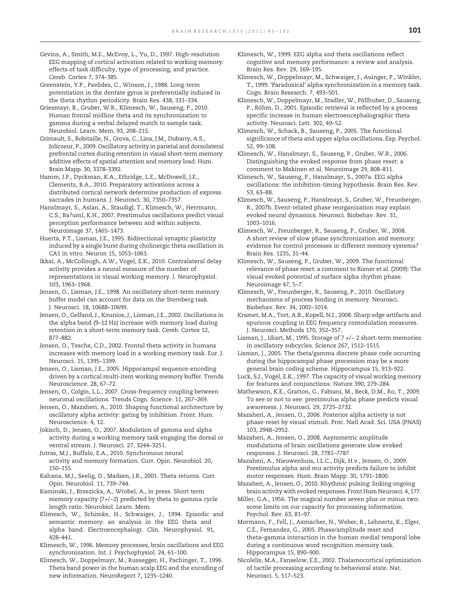- Gevins, A., Smith, M.E., McEvoy, L., Yu, D., 1997. High-resolution EEG mapping of cortical activation related to working memory: effects of task difficulty, type of processing, and practice. Cereb. Cortex 7, 374–385.
- Greenstein, Y.P., Pavlides, C., Winson, J., 1988. Long-term potentiation in the dentate gyrus is preferentially induced in the theta rhythm periodicity. Brain Res. 438, 331–334.
- Griesmayr, B., Gruber, W.R., Klimesch, W., Sauseng, P., 2010. Human frontal midline theta and its synchronization to gamma during a verbal delayed match to sample task. Neurobiol. Learn. Mem. 93, 208–215.
- Grimault, S., Robitaille, N., Grova, C., Lina, J.M., Dubarry, A.S., Jolicoeur, P., 2009. Oscillatory activity in parietal and dorsolateral prefrontal cortex during retention in visual short-term memory: additive effects of spatial attention and memory load. Hum. Brain Mapp. 30, 3378–3392.
- Hamm, J.P., Dyckman, K.A., Ethridge, L.E., McDowell, J.E., Clementz, B.A., 2010. Preparatory activations across a distributed cortical network determine production of express saccades in humans. J. Neurosci. 30, 7350–7357.
- Hanslmayr, S., Aslan, A., Staudigl, T., Klimesch, W., Herrmann, C.S., Ba?uml, K.H., 2007. Prestimulus oscillations predict visual perception performance between and within subjects. Neuroimage 37, 1465–1473.
- Huerta, P.T., Lisman, J.E., 1995. Bidirectional synaptic plasticity induced by a single burst during cholinergic theta oscillation in CA1 in vitro. Neuron 15, 1053–1063.
- Ikkai, A., McCollough, A.W., Vogel, E.K., 2010. Contralateral delay activity provides a neural measure of the number of representations in visual working memory. J. Neurophysiol. 103, 1963–1968.
- Jensen, O., Lisman, J.E., 1998. An oscillatory short-term memory buffer model can account for data on the Sternberg task. J. Neurosci. 18, 10688–10699.
- Jensen, O., Gelfand, J., Kounios, J., Lisman, J.E., 2002. Oscillations in the alpha band (9–12 Hz) increase with memory load during retention in a short-term memory task. Cereb. Cortex 12, 877–882.
- Jensen, O., Tesche, C.D., 2002. Frontal theta activity in humans increases with memory load in a working memory task. Eur. J. Neurosci. 15, 1395–1399.
- Jensen, O., Lisman, J.E., 2005. Hippocampal sequence-encoding driven by a cortical multi-item working memory buffer. Trends Neuroscience. 28, 67–72.
- Jensen, O., Colgin, L.L., 2007. Cross-frequency coupling between neuronal oscillations. Trends Cogn. Science. 11, 267–269.
- Jensen, O., Mazaheri, A., 2010. Shaping functional architecture by oscillatory alpha activity: gating by inhibition. Front. Hum. Neuroscience. 4, 12.
- Jokisch, D., Jensen, O., 2007. Modulation of gamma and alpha activity during a working memory task engaging the dorsal or ventral stream. J. Neurosci. 27, 3244–3251.
- Jutras, M.J., Buffalo, E.A., 2010. Synchronous neural activity and memory formation. Curr. Opin. Neurobiol. 20, 150–155.
- Kahana, M.J., Seelig, D., Madsen, J.R., 2001. Theta returns. Curr. Opin. Neurobiol. 11, 739–744.
- Kaminski, J., Brzezicka, A., Wrobel, A., in press. Short term memory capacity (7+/−2) predicted by theta to gamma cycle length ratio. Neurobiol. Learn. Mem.
- Klimesch, W., Schimke, H., Schwaiger, J., 1994. Episodic and semantic memory: an analysis in the EEG theta and alpha band. Electroencephalogr. Clin. Neurophysiol. 91, 428–441.
- Klimesch, W., 1996. Memory processes, brain oscillations and EEG synchronization. Int. J. Psychophysiol. 24, 61–100.
- <span id="page-8-0"></span>Klimesch, W., Doppelmayr, M., Russegger, H., Pachinger, T., 1996. Theta band power in the human scalp EEG and the encoding of new information. NeuroReport 7, 1235–1240.
- Klimesch, W., 1999. EEG alpha and theta oscillations reflect cognitive and memory performance: a review and analysis. Brain Res. Rev. 29, 169–195.
- Klimesch, W., Doppelmayr, M., Schwaiger, J., Auinger, P., Winkler, T., 1999. 'Paradoxical' alpha synchronization in a memory task. Cogn. Brain Research. 7, 493–501.
- Klimesch, W., Doppelmayr, M., Stadler, W., Pöllhuber, D., Sauseng, P., Röhm, D., 2001. Episodic retrieval is reflected by a process specific increase in human electroencephalographic theta activity. Neurosci. Lett. 302, 49–52.
- Klimesch, W., Schack, B., Sauseng, P., 2005. The functional significance of theta and upper alpha oscillations. Exp. Psychol. 52, 99–108.
- Klimesch, W., Hanslmayr, S., Sauseng, P., Gruber, W.R., 2006. Distinguishing the evoked response from phase reset: a comment to Makinen et al. Neuroimage 29, 808–811.
- Klimesch, W., Sauseng, P., Hanslmayr, S., 2007a. EEG alpha oscillations: the inhibition-timing hypothesis. Brain Res. Rev. 53, 63–88.
- Klimesch, W., Sauseng, P., Hanslmayr, S., Gruber, W., Freunberger, R., 2007b. Event-related phase reorganization may explain evoked neural dynamics. Neurosci. Biobehav. Rev. 31, 1003–1016.
- Klimesch, W., Freunberger, R., Sauseng, P., Gruber, W., 2008. A short review of slow phase synchronization and memory: evidence for control processes in different memory systems? Brain Res. 1235, 31–44.
- Klimesch, W., Sauseng, P., Gruber, W., 2009. The functional relevance of phase reset: a comment to Risner et al. (2009): The visual evoked potential of surface alpha rhythm phase. Neuroimage 47, 5–7.
- Klimesch, W., Freunberger, R., Sauseng, P., 2010. Oscillatory mechanisms of process binding in memory. Neurosci. Biobehav. Rev. 34, 1002–1014.
- Kramer, M.A., Tort, A.B., Kopell, N.J., 2008. Sharp edge artifacts and spurious coupling in EEG frequency comodulation measures. J. Neurosci. Methods 170, 352–357.
- Lisman, J., Idiart, M., 1995. Storage of 7 +/− 2 short-term memories in oscillatory subcycles. Science 267, 1512–1515.
- Lisman, J., 2005. The theta/gamma discrete phase code occurring during the hippocampal phase precession may be a more general brain coding scheme. Hippocampus 15, 913–922.
- Luck, S.J., Vogel, E.K., 1997. The capacity of visual working memory for features and conjunctions. Nature 390, 279–284.
- Mathewson, K.E., Gratton, G., Fabiani, M., Beck, D.M., Ro, T., 2009. To see or not to see: prestimulus alpha phase predicts visual awareness. J. Neurosci. 29, 2725–2732.
- Mazaheri, A., Jensen, O., 2006. Posterior alpha activity is not phase-reset by visual stimuli. Proc. Natl Acad. Sci. USA (PNAS) 103, 2948–2952.
- Mazaheri, A., Jensen, O., 2008. Asymmetric amplitude modulations of brain oscillations generate slow evoked responses. J. Neurosci. 28, 7781–7787.
- Mazaheri, A., Nieuwenhuis, I.L.C., Dijk, H.v., Jensen, O., 2009. Prestimulus alpha and mu activity predicts failure to inhibit motor responses. Hum. Brain Mapp. 30, 1791–1800.
- Mazaheri, A., Jensen, O., 2010. Rhythmic pulsing: linking ongoing brain activity with evoked responses. Front Hum Neurosci. 4, 177.
- Miller, G.A., 1956. The magical number seven plus or minus two: some limits on our capacity for processing information. Psychol. Rev. 63, 81–97.
- Mormann, F., Fell, J., Axmacher, N., Weber, B., Lehnertz, K., Elger, C.E., Fernandez, G., 2005. Phase/amplitude reset and theta–gamma interaction in the human medial temporal lobe during a continuous word recognition memory task. Hippocampus 15, 890–900.
- Nicolelis, M.A., Fanselow, E.E., 2002. Thalamocortical optimization of tactile processing according to behavioral state. Nat. Neurosci. 5, 517–523.